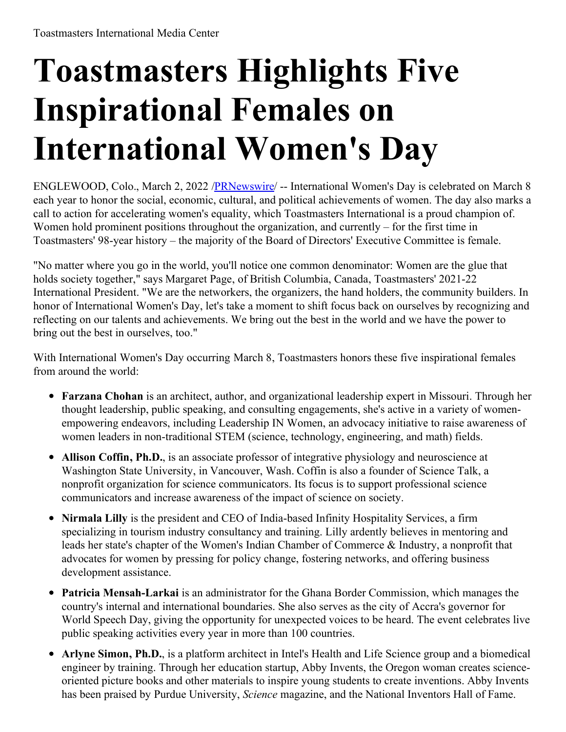## **Toastmasters Highlights Five Inspirational Females on International Women's Day**

ENGLEWOOD, Colo., March 2, 2022 [/PRNewswire](http://www.prnewswire.com/)/ -- International Women's Day is celebrated on March 8 each year to honor the social, economic, cultural, and political achievements of women. The day also marks a call to action for accelerating women's equality, which Toastmasters International is a proud champion of. Women hold prominent positions throughout the organization, and currently – for the first time in Toastmasters' 98-year history – the majority of the Board of Directors' Executive Committee is female.

"No matter where you go in the world, you'll notice one common denominator: Women are the glue that holds society together," says Margaret Page, of British Columbia, Canada, Toastmasters' 2021-22 International President. "We are the networkers, the organizers, the hand holders, the community builders. In honor of International Women's Day, let's take a moment to shift focus back on ourselves by recognizing and reflecting on our talents and achievements. We bring out the best in the world and we have the power to bring out the best in ourselves, too."

With International Women's Day occurring March 8, Toastmasters honors these five inspirational females from around the world:

- **Farzana Chohan** is an architect, author, and organizational leadership expert in Missouri. Through her thought leadership, public speaking, and consulting engagements, she's active in a variety of womenempowering endeavors, including Leadership IN Women, an advocacy initiative to raise awareness of women leaders in non-traditional STEM (science, technology, engineering, and math) fields.
- **Allison Coffin, Ph.D.**, is an associate professor of integrative physiology and neuroscience at Washington State University, in Vancouver, Wash. Coffin is also a founder of Science Talk, a nonprofit organization for science communicators. Its focus is to support professional science communicators and increase awareness of the impact of science on society.
- **Nirmala Lilly** is the president and CEO of India-based Infinity Hospitality Services, a firm specializing in tourism industry consultancy and training. Lilly ardently believes in mentoring and leads her state's chapter of the Women's Indian Chamber of Commerce & Industry, a nonprofit that advocates for women by pressing for policy change, fostering networks, and offering business development assistance.
- **Patricia Mensah-Larkai** is an administrator for the Ghana Border Commission, which manages the country's internal and international boundaries. She also serves as the city of Accra's governor for World Speech Day, giving the opportunity for unexpected voices to be heard. The event celebrates live public speaking activities every year in more than 100 countries.
- **Arlyne Simon, Ph.D.**, is a platform architect in Intel's Health and Life Science group and a biomedical engineer by training. Through her education startup, Abby Invents, the Oregon woman creates scienceoriented picture books and other materials to inspire young students to create inventions. Abby Invents has been praised by Purdue University, *Science* magazine, and the National Inventors Hall of Fame.